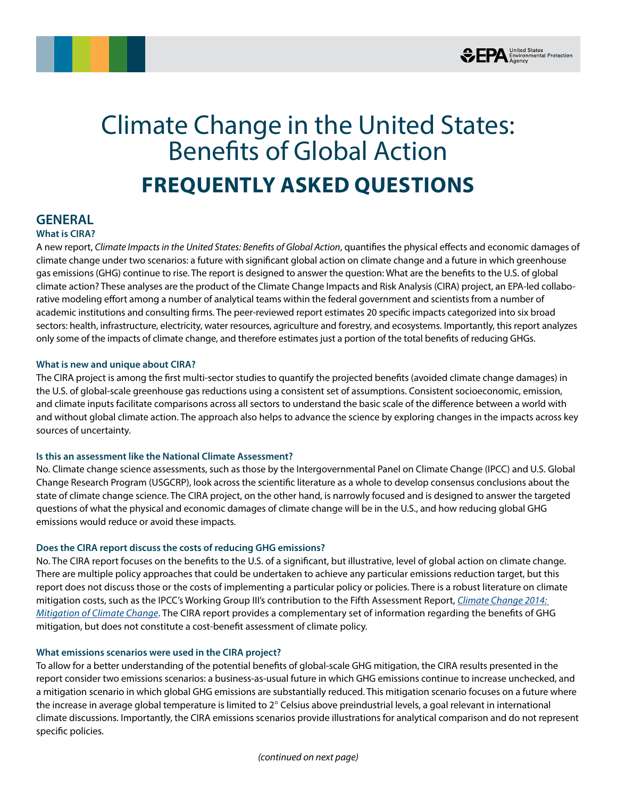



# Climate Change in the United States: Benefits of Global Action **FREQUENTLY ASKED QUESTIONS**

## **GENERAL**

## **What is CIRA?**

A new report, *Climate Impacts in the United States: Benefits of Global Action*, quantifies the physical effects and economic damages of climate change under two scenarios: a future with significant global action on climate change and a future in which greenhouse gas emissions (GHG) continue to rise. The report is designed to answer the question: What are the benefits to the U.S. of global climate action? These analyses are the product of the Climate Change Impacts and Risk Analysis (CIRA) project, an EPA-led collaborative modeling effort among a number of analytical teams within the federal government and scientists from a number of academic institutions and consulting firms. The peer-reviewed report estimates 20 specific impacts categorized into six broad sectors: health, infrastructure, electricity, water resources, agriculture and forestry, and ecosystems. Importantly, this report analyzes only some of the impacts of climate change, and therefore estimates just a portion of the total benefits of reducing GHGs.

## **What is new and unique about CIRA?**

The CIRA project is among the first multi-sector studies to quantify the projected benefits (avoided climate change damages) in the U.S. of global-scale greenhouse gas reductions using a consistent set of assumptions. Consistent socioeconomic, emission, and climate inputs facilitate comparisons across all sectors to understand the basic scale of the difference between a world with and without global climate action. The approach also helps to advance the science by exploring changes in the impacts across key sources of uncertainty.

## **Is this an assessment like the National Climate Assessment?**

No. Climate change science assessments, such as those by the Intergovernmental Panel on Climate Change (IPCC) and U.S. Global Change Research Program (USGCRP), look across the scientific literature as a whole to develop consensus conclusions about the state of climate change science. The CIRA project, on the other hand, is narrowly focused and is designed to answer the targeted questions of what the physical and economic damages of climate change will be in the U.S., and how reducing global GHG emissions would reduce or avoid these impacts.

## **Does the CIRA report discuss the costs of reducing GHG emissions?**

No. The CIRA report focuses on the benefits to the U.S. of a significant, but illustrative, level of global action on climate change. There are multiple policy approaches that could be undertaken to achieve any particular emissions reduction target, but this report does not discuss those or the costs of implementing a particular policy or policies. There is a robust literature on climate mitigation costs, such as the IPCC's Working Group III's contribution to the Fifth Assessment Report, *[Climate Change 2014:](http://www.ipcc.ch/report/ar5/wg3/)  [Mitigation of Climate Change](http://www.ipcc.ch/report/ar5/wg3/)*. The CIRA report provides a complementary set of information regarding the benefits of GHG mitigation, but does not constitute a cost-benefit assessment of climate policy.

## **What emissions scenarios were used in the CIRA project?**

To allow for a better understanding of the potential benefits of global-scale GHG mitigation, the CIRA results presented in the report consider two emissions scenarios: a business-as-usual future in which GHG emissions continue to increase unchecked, and a mitigation scenario in which global GHG emissions are substantially reduced. This mitigation scenario focuses on a future where the increase in average global temperature is limited to 2° Celsius above preindustrial levels, a goal relevant in international climate discussions. Importantly, the CIRA emissions scenarios provide illustrations for analytical comparison and do not represent specific policies.